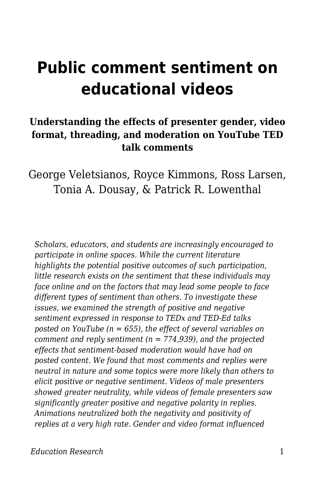# **Public comment sentiment on educational videos**

### **Understanding the effects of presenter gender, video format, threading, and moderation on YouTube TED talk comments**

George Veletsianos, Royce Kimmons, Ross Larsen, Tonia A. Dousay, & Patrick R. Lowenthal

*Scholars, educators, and students are increasingly encouraged to participate in online spaces. While the current literature highlights the potential positive outcomes of such participation, little research exists on the sentiment that these individuals may face online and on the factors that may lead some people to face different types of sentiment than others. To investigate these issues, we examined the strength of positive and negative sentiment expressed in response to TEDx and TED-Ed talks posted on YouTube (n = 655), the effect of several variables on comment and reply sentiment (n = 774,939), and the projected effects that sentiment-based moderation would have had on posted content. We found that most comments and replies were neutral in nature and some topics were more likely than others to elicit positive or negative sentiment. Videos of male presenters showed greater neutrality, while videos of female presenters saw significantly greater positive and negative polarity in replies. Animations neutralized both the negativity and positivity of replies at a very high rate. Gender and video format influenced*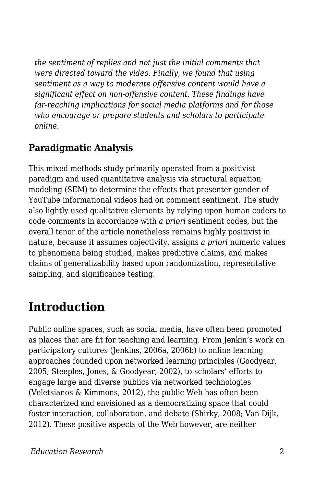*the sentiment of replies and not just the initial comments that were directed toward the video. Finally, we found that using sentiment as a way to moderate offensive content would have a significant effect on non-offensive content. These findings have far-reaching implications for social media platforms and for those who encourage or prepare students and scholars to participate online.*

### **Paradigmatic Analysis**

This mixed methods study primarily operated from a positivist paradigm and used quantitative analysis via structural equation modeling (SEM) to determine the effects that presenter gender of YouTube informational videos had on comment sentiment. The study also lightly used qualitative elements by relying upon human coders to code comments in accordance with *a priori* sentiment codes, but the overall tenor of the article nonetheless remains highly positivist in nature, because it assumes objectivity, assigns *a priori* numeric values to phenomena being studied, makes predictive claims, and makes claims of generalizability based upon randomization, representative sampling, and significance testing.

### **Introduction**

Public online spaces, such as social media, have often been promoted as places that are fit for teaching and learning. From Jenkin's work on participatory cultures (Jenkins, 2006a, 2006b) to online learning approaches founded upon networked learning principles (Goodyear, 2005; Steeples, Jones, & Goodyear, 2002), to scholars' efforts to engage large and diverse publics via networked technologies (Veletsianos & Kimmons, 2012), the public Web has often been characterized and envisioned as a democratizing space that could foster interaction, collaboration, and debate (Shirky, 2008; Van Dijk, 2012). These positive aspects of the Web however, are neither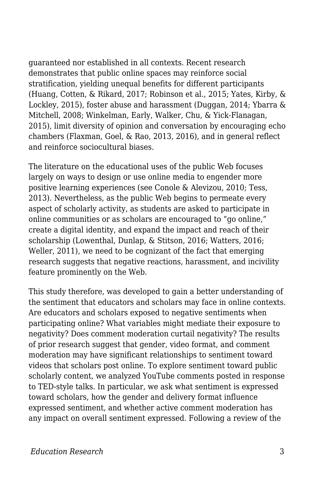guaranteed nor established in all contexts. Recent research demonstrates that public online spaces may reinforce social stratification, yielding unequal benefits for different participants (Huang, Cotten, & Rikard, 2017; Robinson et al., 2015; Yates, Kirby, & Lockley, 2015), foster abuse and harassment (Duggan, 2014; Ybarra & Mitchell, 2008; Winkelman, Early, Walker, Chu, & Yick-Flanagan, 2015), limit diversity of opinion and conversation by encouraging echo chambers (Flaxman, Goel, & Rao, 2013, 2016), and in general reflect and reinforce sociocultural biases.

The literature on the educational uses of the public Web focuses largely on ways to design or use online media to engender more positive learning experiences (see Conole & Alevizou, 2010; Tess, 2013). Nevertheless, as the public Web begins to permeate every aspect of scholarly activity, as students are asked to participate in online communities or as scholars are encouraged to "go online," create a digital identity, and expand the impact and reach of their scholarship (Lowenthal, Dunlap, & Stitson, 2016; Watters, 2016; Weller, 2011), we need to be cognizant of the fact that emerging research suggests that negative reactions, harassment, and incivility feature prominently on the Web.

This study therefore, was developed to gain a better understanding of the sentiment that educators and scholars may face in online contexts. Are educators and scholars exposed to negative sentiments when participating online? What variables might mediate their exposure to negativity? Does comment moderation curtail negativity? The results of prior research suggest that gender, video format, and comment moderation may have significant relationships to sentiment toward videos that scholars post online. To explore sentiment toward public scholarly content, we analyzed YouTube comments posted in response to TED-style talks. In particular, we ask what sentiment is expressed toward scholars, how the gender and delivery format influence expressed sentiment, and whether active comment moderation has any impact on overall sentiment expressed. Following a review of the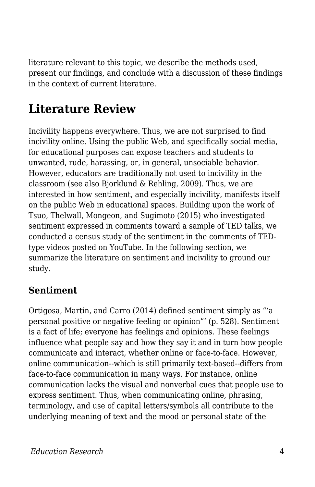literature relevant to this topic, we describe the methods used, present our findings, and conclude with a discussion of these findings in the context of current literature.

## **Literature Review**

Incivility happens everywhere. Thus, we are not surprised to find incivility online. Using the public Web, and specifically social media, for educational purposes can expose teachers and students to unwanted, rude, harassing, or, in general, unsociable behavior. However, educators are traditionally not used to incivility in the classroom (see also Bjorklund & Rehling, 2009). Thus, we are interested in how sentiment, and especially incivility, manifests itself on the public Web in educational spaces. Building upon the work of Tsuo, Thelwall, Mongeon, and Sugimoto (2015) who investigated sentiment expressed in comments toward a sample of TED talks, we conducted a census study of the sentiment in the comments of TEDtype videos posted on YouTube. In the following section, we summarize the literature on sentiment and incivility to ground our study.

#### **Sentiment**

Ortigosa, Martín, and Carro (2014) defined sentiment simply as "'a personal positive or negative feeling or opinion"' (p. 528). Sentiment is a fact of life; everyone has feelings and opinions. These feelings influence what people say and how they say it and in turn how people communicate and interact, whether online or face-to-face. However, online communication--which is still primarily text-based--differs from face-to-face communication in many ways. For instance, online communication lacks the visual and nonverbal cues that people use to express sentiment. Thus, when communicating online, phrasing, terminology, and use of capital letters/symbols all contribute to the underlying meaning of text and the mood or personal state of the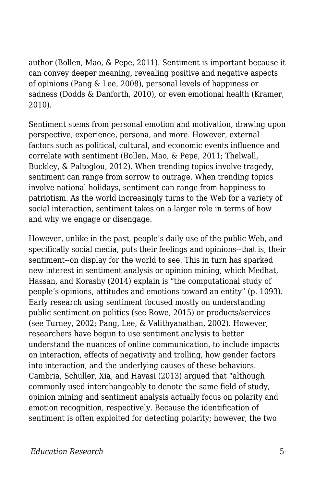author (Bollen, Mao, & Pepe, 2011). Sentiment is important because it can convey deeper meaning, revealing positive and negative aspects of opinions (Pang & Lee, 2008), personal levels of happiness or sadness (Dodds & Danforth, 2010), or even emotional health (Kramer, 2010).

Sentiment stems from personal emotion and motivation, drawing upon perspective, experience, persona, and more. However, external factors such as political, cultural, and economic events influence and correlate with sentiment (Bollen, Mao, & Pepe, 2011; Thelwall, Buckley, & Paltoglou, 2012). When trending topics involve tragedy, sentiment can range from sorrow to outrage. When trending topics involve national holidays, sentiment can range from happiness to patriotism. As the world increasingly turns to the Web for a variety of social interaction, sentiment takes on a larger role in terms of how and why we engage or disengage.

However, unlike in the past, people's daily use of the public Web, and specifically social media, puts their feelings and opinions--that is, their sentiment--on display for the world to see. This in turn has sparked new interest in sentiment analysis or opinion mining, which Medhat, Hassan, and Korashy (2014) explain is "the computational study of people's opinions, attitudes and emotions toward an entity" (p. 1093). Early research using sentiment focused mostly on understanding public sentiment on politics (see Rowe, 2015) or products/services (see Turney, 2002; Pang, Lee, & Valithyanathan, 2002). However, researchers have begun to use sentiment analysis to better understand the nuances of online communication, to include impacts on interaction, effects of negativity and trolling, how gender factors into interaction, and the underlying causes of these behaviors. Cambria, Schuller, Xia, and Havasi (2013) argued that "although commonly used interchangeably to denote the same field of study, opinion mining and sentiment analysis actually focus on polarity and emotion recognition, respectively. Because the identification of sentiment is often exploited for detecting polarity; however, the two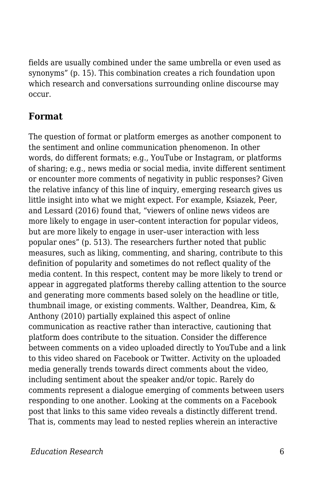fields are usually combined under the same umbrella or even used as synonyms" (p. 15). This combination creates a rich foundation upon which research and conversations surrounding online discourse may occur.

### **Format**

The question of format or platform emerges as another component to the sentiment and online communication phenomenon. In other words, do different formats; e.g., YouTube or Instagram, or platforms of sharing; e.g., news media or social media, invite different sentiment or encounter more comments of negativity in public responses? Given the relative infancy of this line of inquiry, emerging research gives us little insight into what we might expect. For example, Ksiazek, Peer, and Lessard (2016) found that, "viewers of online news videos are more likely to engage in user–content interaction for popular videos, but are more likely to engage in user–user interaction with less popular ones" (p. 513). The researchers further noted that public measures, such as liking, commenting, and sharing, contribute to this definition of popularity and sometimes do not reflect quality of the media content. In this respect, content may be more likely to trend or appear in aggregated platforms thereby calling attention to the source and generating more comments based solely on the headline or title, thumbnail image, or existing comments. Walther, Deandrea, Kim, & Anthony (2010) partially explained this aspect of online communication as reactive rather than interactive, cautioning that platform does contribute to the situation. Consider the difference between comments on a video uploaded directly to YouTube and a link to this video shared on Facebook or Twitter. Activity on the uploaded media generally trends towards direct comments about the video, including sentiment about the speaker and/or topic. Rarely do comments represent a dialogue emerging of comments between users responding to one another. Looking at the comments on a Facebook post that links to this same video reveals a distinctly different trend. That is, comments may lead to nested replies wherein an interactive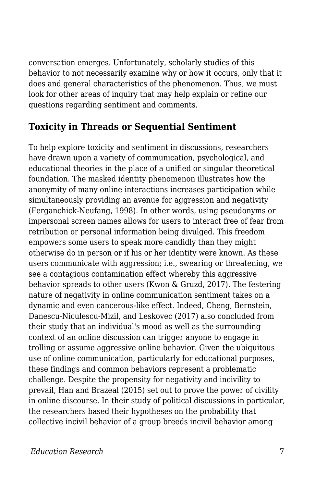conversation emerges. Unfortunately, scholarly studies of this behavior to not necessarily examine why or how it occurs, only that it does and general characteristics of the phenomenon. Thus, we must look for other areas of inquiry that may help explain or refine our questions regarding sentiment and comments.

### **Toxicity in Threads or Sequential Sentiment**

To help explore toxicity and sentiment in discussions, researchers have drawn upon a variety of communication, psychological, and educational theories in the place of a unified or singular theoretical foundation. The masked identity phenomenon illustrates how the anonymity of many online interactions increases participation while simultaneously providing an avenue for aggression and negativity (Ferganchick-Neufang, 1998). In other words, using pseudonyms or impersonal screen names allows for users to interact free of fear from retribution or personal information being divulged. This freedom empowers some users to speak more candidly than they might otherwise do in person or if his or her identity were known. As these users communicate with aggression; i.e., swearing or threatening, we see a contagious contamination effect whereby this aggressive behavior spreads to other users (Kwon & Gruzd, 2017). The festering nature of negativity in online communication sentiment takes on a dynamic and even cancerous-like effect. Indeed, Cheng, Bernstein, Danescu-Niculescu-Mizil, and Leskovec (2017) also concluded from their study that an individual's mood as well as the surrounding context of an online discussion can trigger anyone to engage in trolling or assume aggressive online behavior. Given the ubiquitous use of online communication, particularly for educational purposes, these findings and common behaviors represent a problematic challenge. Despite the propensity for negativity and incivility to prevail, Han and Brazeal (2015) set out to prove the power of civility in online discourse. In their study of political discussions in particular, the researchers based their hypotheses on the probability that collective incivil behavior of a group breeds incivil behavior among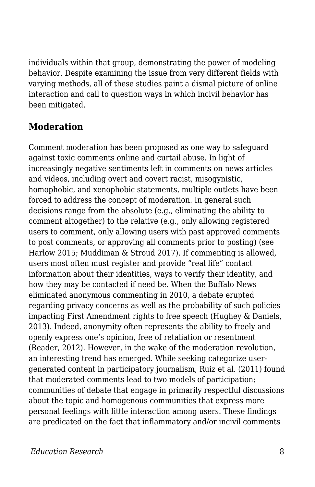individuals within that group, demonstrating the power of modeling behavior. Despite examining the issue from very different fields with varying methods, all of these studies paint a dismal picture of online interaction and call to question ways in which incivil behavior has been mitigated.

### **Moderation**

Comment moderation has been proposed as one way to safeguard against toxic comments online and curtail abuse. In light of increasingly negative sentiments left in comments on news articles and videos, including overt and covert racist, misogynistic, homophobic, and xenophobic statements, multiple outlets have been forced to address the concept of moderation. In general such decisions range from the absolute (e.g., eliminating the ability to comment altogether) to the relative (e.g., only allowing registered users to comment, only allowing users with past approved comments to post comments, or approving all comments prior to posting) (see Harlow 2015; Muddiman & Stroud 2017). If commenting is allowed, users most often must register and provide "real life" contact information about their identities, ways to verify their identity, and how they may be contacted if need be. When the Buffalo News eliminated anonymous commenting in 2010, a debate erupted regarding privacy concerns as well as the probability of such policies impacting First Amendment rights to free speech (Hughey & Daniels, 2013). Indeed, anonymity often represents the ability to freely and openly express one's opinion, free of retaliation or resentment (Reader, 2012). However, in the wake of the moderation revolution, an interesting trend has emerged. While seeking categorize usergenerated content in participatory journalism, Ruiz et al. (2011) found that moderated comments lead to two models of participation; communities of debate that engage in primarily respectful discussions about the topic and homogenous communities that express more personal feelings with little interaction among users. These findings are predicated on the fact that inflammatory and/or incivil comments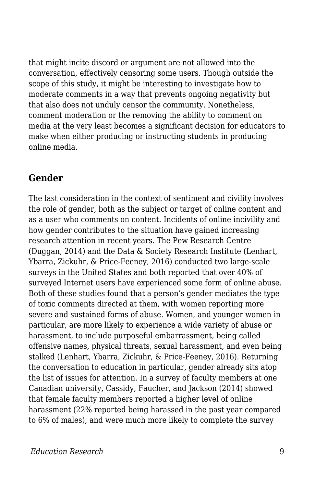that might incite discord or argument are not allowed into the conversation, effectively censoring some users. Though outside the scope of this study, it might be interesting to investigate how to moderate comments in a way that prevents ongoing negativity but that also does not unduly censor the community. Nonetheless, comment moderation or the removing the ability to comment on media at the very least becomes a significant decision for educators to make when either producing or instructing students in producing online media.

#### **Gender**

The last consideration in the context of sentiment and civility involves the role of gender, both as the subject or target of online content and as a user who comments on content. Incidents of online incivility and how gender contributes to the situation have gained increasing research attention in recent years. The Pew Research Centre (Duggan, 2014) and the Data & Society Research Institute (Lenhart, Ybarra, Zickuhr, & Price-Feeney, 2016) conducted two large-scale surveys in the United States and both reported that over 40% of surveyed Internet users have experienced some form of online abuse. Both of these studies found that a person's gender mediates the type of toxic comments directed at them, with women reporting more severe and sustained forms of abuse. Women, and younger women in particular, are more likely to experience a wide variety of abuse or harassment, to include purposeful embarrassment, being called offensive names, physical threats, sexual harassment, and even being stalked (Lenhart, Ybarra, Zickuhr, & Price-Feeney, 2016). Returning the conversation to education in particular, gender already sits atop the list of issues for attention. In a survey of faculty members at one Canadian university, Cassidy, Faucher, and Jackson (2014) showed that female faculty members reported a higher level of online harassment (22% reported being harassed in the past year compared to 6% of males), and were much more likely to complete the survey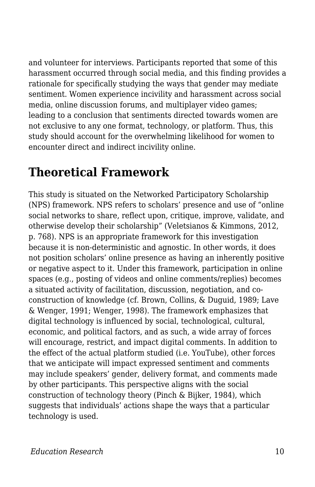and volunteer for interviews. Participants reported that some of this harassment occurred through social media, and this finding provides a rationale for specifically studying the ways that gender may mediate sentiment. Women experience incivility and harassment across social media, online discussion forums, and multiplayer video games; leading to a conclusion that sentiments directed towards women are not exclusive to any one format, technology, or platform. Thus, this study should account for the overwhelming likelihood for women to encounter direct and indirect incivility online.

## **Theoretical Framework**

This study is situated on the Networked Participatory Scholarship (NPS) framework. NPS refers to scholars' presence and use of "online social networks to share, reflect upon, critique, improve, validate, and otherwise develop their scholarship" (Veletsianos & Kimmons, 2012, p. 768). NPS is an appropriate framework for this investigation because it is non-deterministic and agnostic. In other words, it does not position scholars' online presence as having an inherently positive or negative aspect to it. Under this framework, participation in online spaces (e.g., posting of videos and online comments/replies) becomes a situated activity of facilitation, discussion, negotiation, and coconstruction of knowledge (cf. Brown, Collins, & Duguid, 1989; Lave & Wenger, 1991; Wenger, 1998). The framework emphasizes that digital technology is influenced by social, technological, cultural, economic, and political factors, and as such, a wide array of forces will encourage, restrict, and impact digital comments. In addition to the effect of the actual platform studied (i.e. YouTube), other forces that we anticipate will impact expressed sentiment and comments may include speakers' gender, delivery format, and comments made by other participants. This perspective aligns with the social construction of technology theory (Pinch & Bijker, 1984), which suggests that individuals' actions shape the ways that a particular technology is used.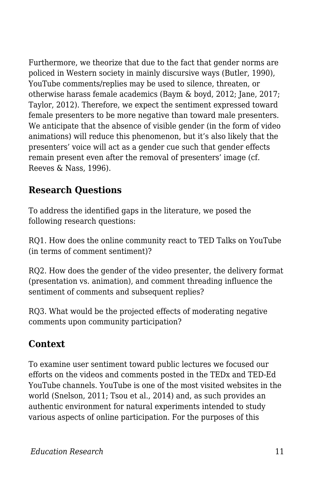Furthermore, we theorize that due to the fact that gender norms are policed in Western society in mainly discursive ways (Butler, 1990), YouTube comments/replies may be used to silence, threaten, or otherwise harass female academics (Baym & boyd, 2012; Jane, 2017; Taylor, 2012). Therefore, we expect the sentiment expressed toward female presenters to be more negative than toward male presenters. We anticipate that the absence of visible gender (in the form of video animations) will reduce this phenomenon, but it's also likely that the presenters' voice will act as a gender cue such that gender effects remain present even after the removal of presenters' image (cf. Reeves & Nass, 1996).

### **Research Questions**

To address the identified gaps in the literature, we posed the following research questions:

RQ1. How does the online community react to TED Talks on YouTube (in terms of comment sentiment)?

RQ2. How does the gender of the video presenter, the delivery format (presentation vs. animation), and comment threading influence the sentiment of comments and subsequent replies?

RQ3. What would be the projected effects of moderating negative comments upon community participation?

### **Context**

To examine user sentiment toward public lectures we focused our efforts on the videos and comments posted in the TEDx and TED-Ed YouTube channels. YouTube is one of the most visited websites in the world (Snelson, 2011; Tsou et al., 2014) and, as such provides an authentic environment for natural experiments intended to study various aspects of online participation. For the purposes of this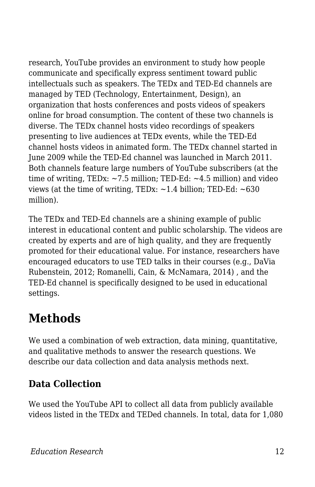research, YouTube provides an environment to study how people communicate and specifically express sentiment toward public intellectuals such as speakers. The TEDx and TED-Ed channels are managed by TED (Technology, Entertainment, Design), an organization that hosts conferences and posts videos of speakers online for broad consumption. The content of these two channels is diverse. The TEDx channel hosts video recordings of speakers presenting to live audiences at TEDx events, while the TED-Ed channel hosts videos in animated form. The TEDx channel started in June 2009 while the TED-Ed channel was launched in March 2011. Both channels feature large numbers of YouTube subscribers (at the time of writing, TEDx:  $\sim$ 7.5 million; TED-Ed:  $\sim$ 4.5 million) and video views (at the time of writing, TEDx:  $\sim$  1.4 billion; TED-Ed:  $\sim$  630 million).

The TEDx and TED-Ed channels are a shining example of public interest in educational content and public scholarship. The videos are created by experts and are of high quality, and they are frequently promoted for their educational value. For instance, researchers have encouraged educators to use TED talks in their courses (e.g., DaVia Rubenstein, 2012; Romanelli, Cain, & McNamara, 2014) , and the TED-Ed channel is specifically designed to be used in educational settings.

## **Methods**

We used a combination of web extraction, data mining, quantitative, and qualitative methods to answer the research questions. We describe our data collection and data analysis methods next.

### **Data Collection**

We used the YouTube API to collect all data from publicly available videos listed in the TEDx and TEDed channels. In total, data for 1,080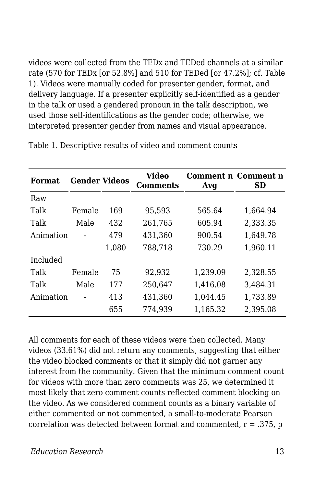videos were collected from the TEDx and TEDed channels at a similar rate (570 for TEDx [or 52.8%] and 510 for TEDed [or 47.2%]; cf. Table 1). Videos were manually coded for presenter gender, format, and delivery language. If a presenter explicitly self-identified as a gender in the talk or used a gendered pronoun in the talk description, we used those self-identifications as the gender code; otherwise, we interpreted presenter gender from names and visual appearance.

| Format    | <b>Gender Videos</b> |       | Video<br><b>Comments</b> | Avg      | Comment n Comment n<br><b>SD</b> |
|-----------|----------------------|-------|--------------------------|----------|----------------------------------|
| Raw       |                      |       |                          |          |                                  |
| Talk      | Female               | 169   | 95,593                   | 565.64   | 1,664.94                         |
| Talk      | Male                 | 432   | 261,765                  | 605.94   | 2,333.35                         |
| Animation |                      | 479   | 431,360                  | 900.54   | 1,649.78                         |
|           |                      | 1,080 | 788,718                  | 730.29   | 1,960.11                         |
| Included  |                      |       |                          |          |                                  |
| Talk      | Female               | 75    | 92,932                   | 1,239.09 | 2,328.55                         |
| Talk      | Male                 | 177   | 250,647                  | 1,416.08 | 3,484.31                         |
| Animation |                      | 413   | 431,360                  | 1,044.45 | 1,733.89                         |
|           |                      | 655   | 774,939                  | 1,165.32 | 2,395.08                         |

Table 1. Descriptive results of video and comment counts

All comments for each of these videos were then collected. Many videos (33.61%) did not return any comments, suggesting that either the video blocked comments or that it simply did not garner any interest from the community. Given that the minimum comment count for videos with more than zero comments was 25, we determined it most likely that zero comment counts reflected comment blocking on the video. As we considered comment counts as a binary variable of either commented or not commented, a small-to-moderate Pearson correlation was detected between format and commented,  $r = .375$ , p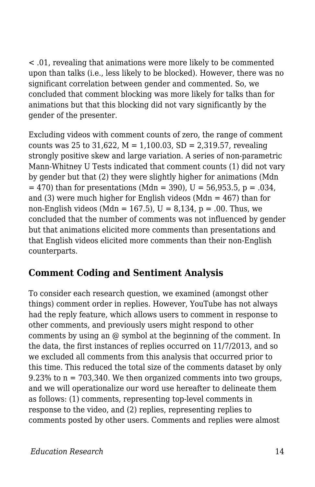< .01, revealing that animations were more likely to be commented upon than talks (i.e., less likely to be blocked). However, there was no significant correlation between gender and commented. So, we concluded that comment blocking was more likely for talks than for animations but that this blocking did not vary significantly by the gender of the presenter.

Excluding videos with comment counts of zero, the range of comment counts was 25 to 31,622,  $M = 1,100.03$ ,  $SD = 2,319.57$ , revealing strongly positive skew and large variation. A series of non-parametric Mann-Whitney U Tests indicated that comment counts (1) did not vary by gender but that (2) they were slightly higher for animations (Mdn  $=$  470) than for presentations (Mdn = 390), U = 56,953.5, p = .034, and (3) were much higher for English videos (Mdn  $=$  467) than for non-English videos (Mdn = 167.5),  $U = 8,134$ ,  $p = .00$ . Thus, we concluded that the number of comments was not influenced by gender but that animations elicited more comments than presentations and that English videos elicited more comments than their non-English counterparts.

#### **Comment Coding and Sentiment Analysis**

To consider each research question, we examined (amongst other things) comment order in replies. However, YouTube has not always had the reply feature, which allows users to comment in response to other comments, and previously users might respond to other comments by using an @ symbol at the beginning of the comment. In the data, the first instances of replies occurred on 11/7/2013, and so we excluded all comments from this analysis that occurred prior to this time. This reduced the total size of the comments dataset by only 9.23% to  $n = 703,340$ . We then organized comments into two groups, and we will operationalize our word use hereafter to delineate them as follows: (1) comments, representing top-level comments in response to the video, and (2) replies, representing replies to comments posted by other users. Comments and replies were almost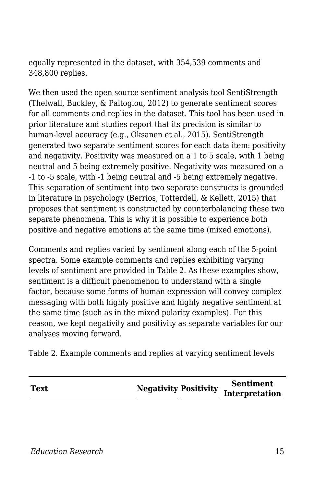equally represented in the dataset, with 354,539 comments and 348,800 replies.

We then used the open source sentiment analysis tool SentiStrength (Thelwall, Buckley, & Paltoglou, 2012) to generate sentiment scores for all comments and replies in the dataset. This tool has been used in prior literature and studies report that its precision is similar to human-level accuracy (e.g., Oksanen et al., 2015). SentiStrength generated two separate sentiment scores for each data item: positivity and negativity. Positivity was measured on a 1 to 5 scale, with 1 being neutral and 5 being extremely positive. Negativity was measured on a -1 to -5 scale, with -1 being neutral and -5 being extremely negative. This separation of sentiment into two separate constructs is grounded in literature in psychology (Berrios, Totterdell, & Kellett, 2015) that proposes that sentiment is constructed by counterbalancing these two separate phenomena. This is why it is possible to experience both positive and negative emotions at the same time (mixed emotions).

Comments and replies varied by sentiment along each of the 5-point spectra. Some example comments and replies exhibiting varying levels of sentiment are provided in Table 2. As these examples show, sentiment is a difficult phenomenon to understand with a single factor, because some forms of human expression will convey complex messaging with both highly positive and highly negative sentiment at the same time (such as in the mixed polarity examples). For this reason, we kept negativity and positivity as separate variables for our analyses moving forward.

Table 2. Example comments and replies at varying sentiment levels

|  | <b>Text</b> | <b>Negativity Positivity</b> | <b>Sentiment</b><br>Interpretation |
|--|-------------|------------------------------|------------------------------------|
|--|-------------|------------------------------|------------------------------------|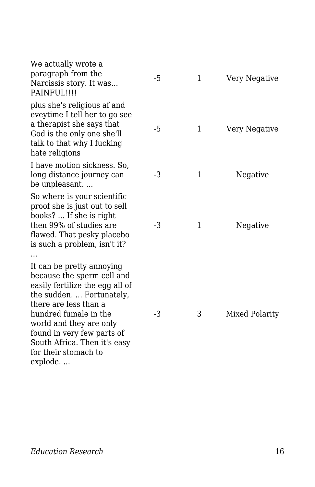| We actually wrote a<br>paragraph from the<br>Narcissis story. It was<br>PAINFUL!!!!                                                                                                                                                                                                                   | $-5$ | $\mathbf{1}$ | Very Negative  |
|-------------------------------------------------------------------------------------------------------------------------------------------------------------------------------------------------------------------------------------------------------------------------------------------------------|------|--------------|----------------|
| plus she's religious af and<br>eveytime I tell her to go see<br>a therapist she says that<br>God is the only one she'll<br>talk to that why I fucking<br>hate religions                                                                                                                               | -5   | 1            | Very Negative  |
| I have motion sickness. So,<br>long distance journey can<br>be unpleasant                                                                                                                                                                                                                             | -3   | 1            | Negative       |
| So where is your scientific<br>proof she is just out to sell<br>books?  If she is right<br>then 99% of studies are<br>flawed. That pesky placebo<br>is such a problem, isn't it?                                                                                                                      | -3   | 1            | Negative       |
| It can be pretty annoying<br>because the sperm cell and<br>easily fertilize the egg all of<br>the sudden.  Fortunately,<br>there are less than a<br>hundred fumale in the<br>world and they are only<br>found in very few parts of<br>South Africa. Then it's easy<br>for their stomach to<br>explode | -3   | 3            | Mixed Polarity |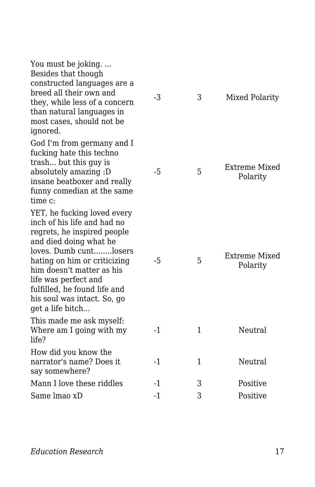| You must be joking.<br>Besides that though<br>constructed languages are a<br>breed all their own and<br>they, while less of a concern<br>than natural languages in<br>most cases, should not be<br>ignored.                                                                                                           | -3   | 3 | Mixed Polarity            |
|-----------------------------------------------------------------------------------------------------------------------------------------------------------------------------------------------------------------------------------------------------------------------------------------------------------------------|------|---|---------------------------|
| God I'm from germany and I<br>fucking hate this techno<br>trash but this guy is<br>absolutely amazing :D<br>insane beatboxer and really<br>funny comedian at the same<br>time c:                                                                                                                                      | $-5$ | 5 | Extreme Mixed<br>Polarity |
| YET, he fucking loved every<br>inch of his life and had no<br>regrets, he inspired people<br>and died doing what he<br>loves. Dumb cuntlosers<br>hating on him or criticizing<br>him doesn't matter as his<br>life was perfect and<br>fulfilled, he found life and<br>his soul was intact. So, go<br>get a life bitch | -5   | 5 | Extreme Mixed<br>Polarity |
| This made me ask myself:<br>Where am I going with my<br>life?                                                                                                                                                                                                                                                         | $-1$ | 1 | Neutral                   |
| How did you know the<br>narrator's name? Does it<br>say somewhere?                                                                                                                                                                                                                                                    | $-1$ | 1 | Neutral                   |
| Mann I love these riddles                                                                                                                                                                                                                                                                                             | -1   | 3 | Positive                  |
| Same lmao xD                                                                                                                                                                                                                                                                                                          | $-1$ | 3 | Positive                  |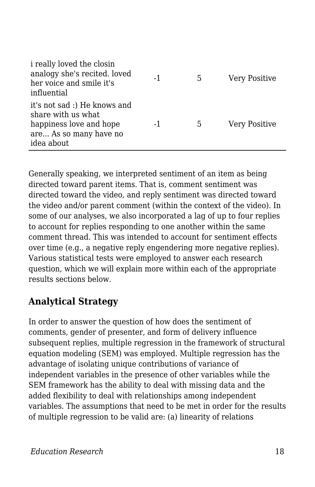| i really loved the closin<br>analogy she's recited. loved<br>her voice and smile it's<br>influential                  | $-1$ | 5. | Very Positive        |
|-----------------------------------------------------------------------------------------------------------------------|------|----|----------------------|
| it's not sad :) He knows and<br>share with us what<br>happiness love and hope<br>are As so many have no<br>idea about | $-1$ | 5. | <b>Very Positive</b> |

Generally speaking, we interpreted sentiment of an item as being directed toward parent items. That is, comment sentiment was directed toward the video, and reply sentiment was directed toward the video and/or parent comment (within the context of the video). In some of our analyses, we also incorporated a lag of up to four replies to account for replies responding to one another within the same comment thread. This was intended to account for sentiment effects over time (e.g., a negative reply engendering more negative replies). Various statistical tests were employed to answer each research question, which we will explain more within each of the appropriate results sections below.

### **Analytical Strategy**

In order to answer the question of how does the sentiment of comments, gender of presenter, and form of delivery influence subsequent replies, multiple regression in the framework of structural equation modeling (SEM) was employed. Multiple regression has the advantage of isolating unique contributions of variance of independent variables in the presence of other variables while the SEM framework has the ability to deal with missing data and the added flexibility to deal with relationships among independent variables. The assumptions that need to be met in order for the results of multiple regression to be valid are: (a) linearity of relations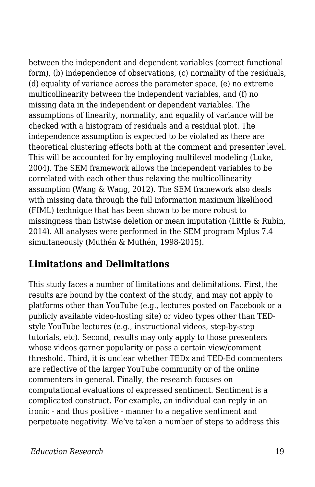between the independent and dependent variables (correct functional form), (b) independence of observations, (c) normality of the residuals, (d) equality of variance across the parameter space, (e) no extreme multicollinearity between the independent variables, and (f) no missing data in the independent or dependent variables. The assumptions of linearity, normality, and equality of variance will be checked with a histogram of residuals and a residual plot. The independence assumption is expected to be violated as there are theoretical clustering effects both at the comment and presenter level. This will be accounted for by employing multilevel modeling (Luke, 2004). The SEM framework allows the independent variables to be correlated with each other thus relaxing the multicollinearity assumption (Wang & Wang, 2012). The SEM framework also deals with missing data through the full information maximum likelihood (FIML) technique that has been shown to be more robust to missingness than listwise deletion or mean imputation (Little & Rubin, 2014). All analyses were performed in the SEM program Mplus 7.4 simultaneously (Muthén & Muthén, 1998-2015).

### **Limitations and Delimitations**

This study faces a number of limitations and delimitations. First, the results are bound by the context of the study, and may not apply to platforms other than YouTube (e.g., lectures posted on Facebook or a publicly available video-hosting site) or video types other than TEDstyle YouTube lectures (e.g., instructional videos, step-by-step tutorials, etc). Second, results may only apply to those presenters whose videos garner popularity or pass a certain view/comment threshold. Third, it is unclear whether TEDx and TED-Ed commenters are reflective of the larger YouTube community or of the online commenters in general. Finally, the research focuses on computational evaluations of expressed sentiment. Sentiment is a complicated construct. For example, an individual can reply in an ironic - and thus positive - manner to a negative sentiment and perpetuate negativity. We've taken a number of steps to address this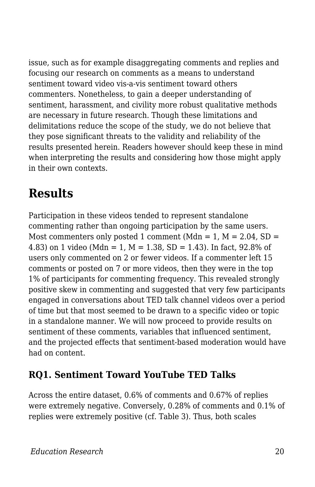issue, such as for example disaggregating comments and replies and focusing our research on comments as a means to understand sentiment toward video vis-a-vis sentiment toward others commenters. Nonetheless, to gain a deeper understanding of sentiment, harassment, and civility more robust qualitative methods are necessary in future research. Though these limitations and delimitations reduce the scope of the study, we do not believe that they pose significant threats to the validity and reliability of the results presented herein. Readers however should keep these in mind when interpreting the results and considering how those might apply in their own contexts.

## **Results**

Participation in these videos tended to represent standalone commenting rather than ongoing participation by the same users. Most commenters only posted 1 comment (Mdn =  $1$ , M =  $2.04$ , SD = 4.83) on 1 video (Mdn = 1, M = 1.38, SD = 1.43). In fact, 92.8% of users only commented on 2 or fewer videos. If a commenter left 15 comments or posted on 7 or more videos, then they were in the top 1% of participants for commenting frequency. This revealed strongly positive skew in commenting and suggested that very few participants engaged in conversations about TED talk channel videos over a period of time but that most seemed to be drawn to a specific video or topic in a standalone manner. We will now proceed to provide results on sentiment of these comments, variables that influenced sentiment, and the projected effects that sentiment-based moderation would have had on content.

### **RQ1. Sentiment Toward YouTube TED Talks**

Across the entire dataset, 0.6% of comments and 0.67% of replies were extremely negative. Conversely, 0.28% of comments and 0.1% of replies were extremely positive (cf. Table 3). Thus, both scales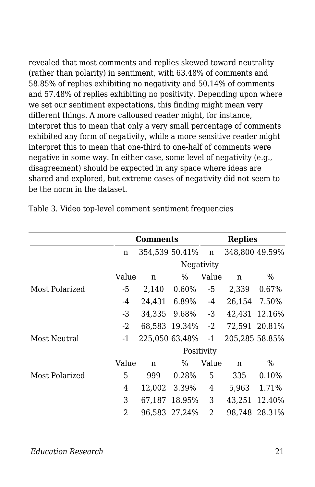revealed that most comments and replies skewed toward neutrality (rather than polarity) in sentiment, with 63.48% of comments and 58.85% of replies exhibiting no negativity and 50.14% of comments and 57.48% of replies exhibiting no positivity. Depending upon where we set our sentiment expectations, this finding might mean very different things. A more calloused reader might, for instance, interpret this to mean that only a very small percentage of comments exhibited any form of negativity, while a more sensitive reader might interpret this to mean that one-third to one-half of comments were negative in some way. In either case, some level of negativity (e.g., disagreement) should be expected in any space where ideas are shared and explored, but extreme cases of negativity did not seem to be the norm in the dataset.

|                |       | <b>Comments</b> |               |            | <b>Replies</b> |               |
|----------------|-------|-----------------|---------------|------------|----------------|---------------|
|                | n     | 354,539 50.41%  |               | n          | 348,800 49.59% |               |
|                |       |                 |               | Negativity |                |               |
|                | Value | n               | %             | Value      | n              | %             |
| Most Polarized | -5    | 2,140           | 0.60%         | $-5$       | 2,339          | 0.67%         |
|                | $-4$  | 24,431          | 6.89%         | -4         | 26,154 7.50%   |               |
|                | $-3$  | 34,335          | 9.68%         | $-3$       |                | 42,431 12.16% |
|                | -2    |                 | 68,583 19.34% | $-2$       |                | 72,591 20.81% |
| Most Neutral   | $-1$  | 225,050 63.48%  |               | $-1$       | 205,285 58.85% |               |
|                |       |                 |               | Positivity |                |               |
|                | Value | n               | %             | Value      | n              | %             |
| Most Polarized | 5     | 999             | 0.28%         | 5          | 335            | 0.10%         |
|                | 4     | 12,002          | 3.39%         | 4          | 5,963          | 1.71%         |
|                | 3     | 67,187          | 18.95%        | 3          | 43,251         | 12.40%        |
|                | 2     |                 | 96,583 27.24% | 2          |                | 98,748 28.31% |

Table 3. Video top-level comment sentiment frequencies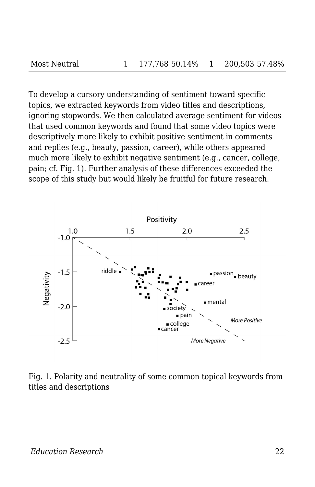To develop a cursory understanding of sentiment toward specific topics, we extracted keywords from video titles and descriptions, ignoring stopwords. We then calculated average sentiment for videos that used common keywords and found that some video topics were descriptively more likely to exhibit positive sentiment in comments and replies (e.g., beauty, passion, career), while others appeared much more likely to exhibit negative sentiment (e.g., cancer, college, pain; cf. Fig. 1). Further analysis of these differences exceeded the scope of this study but would likely be fruitful for future research.



Fig. 1. Polarity and neutrality of some common topical keywords from titles and descriptions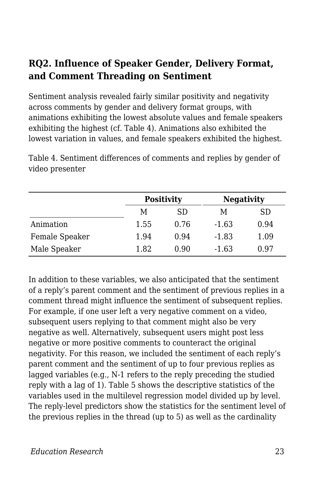### **RQ2. Influence of Speaker Gender, Delivery Format, and Comment Threading on Sentiment**

Sentiment analysis revealed fairly similar positivity and negativity across comments by gender and delivery format groups, with animations exhibiting the lowest absolute values and female speakers exhibiting the highest (cf. Table 4). Animations also exhibited the lowest variation in values, and female speakers exhibited the highest.

|                |      | <b>Positivity</b> | <b>Negativity</b> |           |
|----------------|------|-------------------|-------------------|-----------|
|                |      |                   |                   |           |
|                | М    | SD.               | М                 | <b>SD</b> |
| Animation      | 1.55 | 0.76              | $-1.63$           | 0.94      |
| Female Speaker | 1.94 | 0.94              | $-1.83$           | 1.09      |
| Male Speaker   | 1.82 | 0.90              | $-1.63$           | 0.97      |

Table 4. Sentiment differences of comments and replies by gender of video presenter

In addition to these variables, we also anticipated that the sentiment of a reply's parent comment and the sentiment of previous replies in a comment thread might influence the sentiment of subsequent replies. For example, if one user left a very negative comment on a video, subsequent users replying to that comment might also be very negative as well. Alternatively, subsequent users might post less negative or more positive comments to counteract the original negativity. For this reason, we included the sentiment of each reply's parent comment and the sentiment of up to four previous replies as lagged variables (e.g., N-1 refers to the reply preceding the studied reply with a lag of 1). Table 5 shows the descriptive statistics of the variables used in the multilevel regression model divided up by level. The reply-level predictors show the statistics for the sentiment level of the previous replies in the thread (up to 5) as well as the cardinality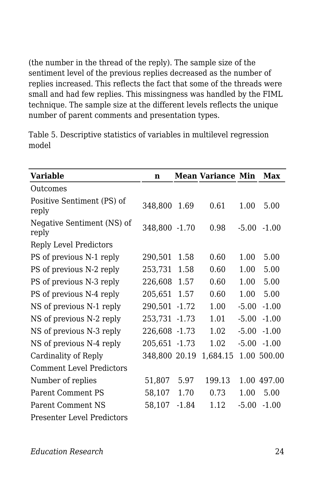(the number in the thread of the reply). The sample size of the sentiment level of the previous replies decreased as the number of replies increased. This reflects the fact that some of the threads were small and had few replies. This missingness was handled by the FIML technique. The sample size at the different levels reflects the unique number of parent comments and presentation types.

Table 5. Descriptive statistics of variables in multilevel regression model

| Variable                            | n             |         | <b>Mean Variance Min</b> |         | Max         |
|-------------------------------------|---------------|---------|--------------------------|---------|-------------|
| Outcomes                            |               |         |                          |         |             |
| Positive Sentiment (PS) of<br>reply | 348,800       | 1.69    | 0.61                     | 1.00    | 5.00        |
| Negative Sentiment (NS) of<br>reply | 348,800 -1.70 |         | 0.98                     | $-5.00$ | $-1.00$     |
| Reply Level Predictors              |               |         |                          |         |             |
| PS of previous N-1 reply            | 290,501       | 1.58    | 0.60                     | 1.00    | 5.00        |
| PS of previous N-2 reply            | 253,731       | 1.58    | 0.60                     | 1.00    | 5.00        |
| PS of previous N-3 reply            | 226,608       | 1.57    | 0.60                     | 1.00    | 5.00        |
| PS of previous N-4 reply            | 205,651       | 1.57    | 0.60                     | 1.00    | 5.00        |
| NS of previous N-1 reply            | 290,501       | $-1.72$ | 1.00                     | $-5.00$ | $-1.00$     |
| NS of previous N-2 reply            | 253,731       | $-1.73$ | 1.01                     | $-5.00$ | $-1.00$     |
| NS of previous N-3 reply            | 226,608 -1.73 |         | 1.02                     | $-5.00$ | $-1.00$     |
| NS of previous N-4 reply            | 205,651 -1.73 |         | 1.02                     | $-5.00$ | $-1.00$     |
| Cardinality of Reply                | 348,800 20.19 |         | 1,684.15                 |         | 1.00 500.00 |
| Comment Level Predictors            |               |         |                          |         |             |
| Number of replies                   | 51,807        | 5.97    | 199.13                   | 1.00    | 497.00      |
| <b>Parent Comment PS</b>            | 58,107        | 1.70    | 0.73                     | 1.00    | 5.00        |
| Parent Comment NS                   | 58,107        | $-1.84$ | 1.12                     | $-5.00$ | $-1.00$     |
| Presenter Level Predictors          |               |         |                          |         |             |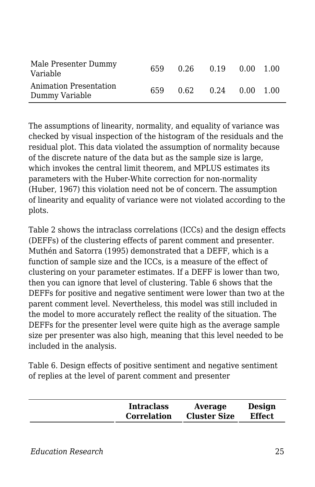| Male Presenter Dummy<br>Variable         | 659. | 0.26                        | 0.19 | $0.00 \quad 1.00$ |  |
|------------------------------------------|------|-----------------------------|------|-------------------|--|
| Animation Presentation<br>Dummy Variable | 659  | $0.62$ $0.24$ $0.00$ $1.00$ |      |                   |  |

The assumptions of linearity, normality, and equality of variance was checked by visual inspection of the histogram of the residuals and the residual plot. This data violated the assumption of normality because of the discrete nature of the data but as the sample size is large, which invokes the central limit theorem, and MPLUS estimates its parameters with the Huber-White correction for non-normality (Huber, 1967) this violation need not be of concern. The assumption of linearity and equality of variance were not violated according to the plots.

Table 2 shows the intraclass correlations (ICCs) and the design effects (DEFFs) of the clustering effects of parent comment and presenter. Muthén and Satorra (1995) demonstrated that a DEFF, which is a function of sample size and the ICCs, is a measure of the effect of clustering on your parameter estimates. If a DEFF is lower than two, then you can ignore that level of clustering. Table 6 shows that the DEFFs for positive and negative sentiment were lower than two at the parent comment level. Nevertheless, this model was still included in the model to more accurately reflect the reality of the situation. The DEFFs for the presenter level were quite high as the average sample size per presenter was also high, meaning that this level needed to be included in the analysis.

Table 6. Design effects of positive sentiment and negative sentiment of replies at the level of parent comment and presenter

|--|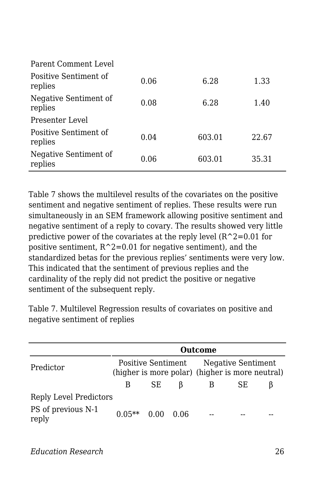| Parent Comment Level             |      |        |       |
|----------------------------------|------|--------|-------|
| Positive Sentiment of<br>replies | 0.06 | 6.28   | 1.33  |
| Negative Sentiment of<br>replies | 0.08 | 6.28   | 1.40  |
| Presenter Level                  |      |        |       |
| Positive Sentiment of<br>replies | 0.04 | 603.01 | 22.67 |
| Negative Sentiment of<br>replies | 0.06 | 603.01 | 35.31 |

Table 7 shows the multilevel results of the covariates on the positive sentiment and negative sentiment of replies. These results were run simultaneously in an SEM framework allowing positive sentiment and negative sentiment of a reply to covary. The results showed very little predictive power of the covariates at the reply level  $(R^2=0.01$  for positive sentiment,  $R^2=0.01$  for negative sentiment), and the standardized betas for the previous replies' sentiments were very low. This indicated that the sentiment of previous replies and the cardinality of the reply did not predict the positive or negative sentiment of the subsequent reply.

Table 7. Multilevel Regression results of covariates on positive and negative sentiment of replies

| В                                   | SE. | B               | SE.            |                                                                                          |
|-------------------------------------|-----|-----------------|----------------|------------------------------------------------------------------------------------------|
| Reply Level Predictors<br>$0.05***$ |     |                 |                |                                                                                          |
|                                     |     | $0.00 \pm 0.06$ | <b>Outcome</b> | Positive Sentiment Negative Sentiment<br>(higher is more polar) (higher is more neutral) |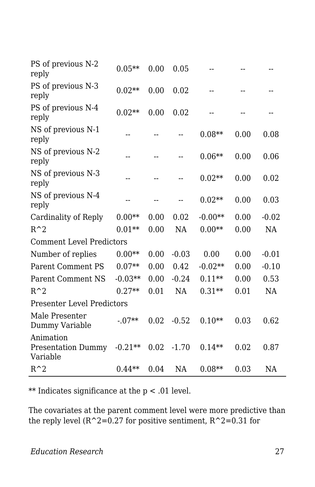| PS of previous N-2<br>reply                        | $0.05**$  | 0.00 | 0.05    |           |      |           |  |  |  |  |
|----------------------------------------------------|-----------|------|---------|-----------|------|-----------|--|--|--|--|
| PS of previous N-3<br>reply                        | $0.02**$  | 0.00 | 0.02    |           |      |           |  |  |  |  |
| PS of previous N-4<br>reply                        | $0.02**$  | 0.00 | 0.02    |           |      |           |  |  |  |  |
| NS of previous N-1<br>reply                        |           |      |         | $0.08**$  | 0.00 | 0.08      |  |  |  |  |
| NS of previous N-2<br>reply                        |           |      |         | $0.06**$  | 0.00 | 0.06      |  |  |  |  |
| NS of previous N-3<br>reply                        |           |      |         | $0.02**$  | 0.00 | 0.02      |  |  |  |  |
| NS of previous N-4<br>reply                        |           |      |         | $0.02**$  | 0.00 | 0.03      |  |  |  |  |
| Cardinality of Reply                               | $0.00**$  | 0.00 | 0.02    | $-0.00**$ | 0.00 | $-0.02$   |  |  |  |  |
| $R^2$                                              | $0.01**$  | 0.00 | NA      | $0.00**$  | 0.00 | NA        |  |  |  |  |
| <b>Comment Level Predictors</b>                    |           |      |         |           |      |           |  |  |  |  |
| Number of replies                                  | $0.00**$  | 0.00 | $-0.03$ | 0.00      | 0.00 | $-0.01$   |  |  |  |  |
| <b>Parent Comment PS</b>                           | $0.07**$  | 0.00 | 0.42    | $-0.02**$ | 0.00 | $-0.10$   |  |  |  |  |
| <b>Parent Comment NS</b>                           | $-0.03**$ | 0.00 | $-0.24$ | $0.11**$  | 0.00 | 0.53      |  |  |  |  |
| $R^2$                                              | $0.27**$  | 0.01 | NA      | $0.31**$  | 0.01 | NA        |  |  |  |  |
| <b>Presenter Level Predictors</b>                  |           |      |         |           |      |           |  |  |  |  |
| Male Presenter<br>Dummy Variable                   | $-07**$   | 0.02 | $-0.52$ | $0.10**$  | 0.03 | 0.62      |  |  |  |  |
| Animation<br><b>Presentation Dummy</b><br>Variable | $-0.21**$ | 0.02 | $-1.70$ | $0.14**$  | 0.02 | 0.87      |  |  |  |  |
| $R^2$                                              | $0.44**$  | 0.04 | NA      | $0.08**$  | 0.03 | <b>NA</b> |  |  |  |  |

\*\* Indicates significance at the p < .01 level.

The covariates at the parent comment level were more predictive than the reply level (R^2=0.27 for positive sentiment, R^2=0.31 for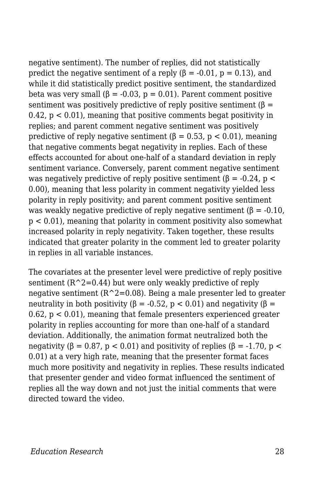negative sentiment). The number of replies, did not statistically predict the negative sentiment of a reply  $(\beta = -0.01, p = 0.13)$ , and while it did statistically predict positive sentiment, the standardized beta was very small ( $β = -0.03$ ,  $p = 0.01$ ). Parent comment positive sentiment was positively predictive of reply positive sentiment ( $\beta$  =  $0.42$ ,  $p < 0.01$ ), meaning that positive comments begat positivity in replies; and parent comment negative sentiment was positively predictive of reply negative sentiment ( $\beta = 0.53$ ,  $p < 0.01$ ), meaning that negative comments begat negativity in replies. Each of these effects accounted for about one-half of a standard deviation in reply sentiment variance. Conversely, parent comment negative sentiment was negatively predictive of reply positive sentiment ( $\beta = -0.24$ , p < 0.00), meaning that less polarity in comment negativity yielded less polarity in reply positivity; and parent comment positive sentiment was weakly negative predictive of reply negative sentiment ( $\beta = -0.10$ ,  $p < 0.01$ ), meaning that polarity in comment positivity also somewhat increased polarity in reply negativity. Taken together, these results indicated that greater polarity in the comment led to greater polarity in replies in all variable instances.

The covariates at the presenter level were predictive of reply positive sentiment  $(R^2=0.44)$  but were only weakly predictive of reply negative sentiment  $(R^2=0.08)$ . Being a male presenter led to greater neutrality in both positivity (β = -0.52, p < 0.01) and negativity (β =  $0.62$ ,  $p < 0.01$ ), meaning that female presenters experienced greater polarity in replies accounting for more than one-half of a standard deviation. Additionally, the animation format neutralized both the negativity (β = 0.87, p < 0.01) and positivity of replies (β = -1.70, p < 0.01) at a very high rate, meaning that the presenter format faces much more positivity and negativity in replies. These results indicated that presenter gender and video format influenced the sentiment of replies all the way down and not just the initial comments that were directed toward the video.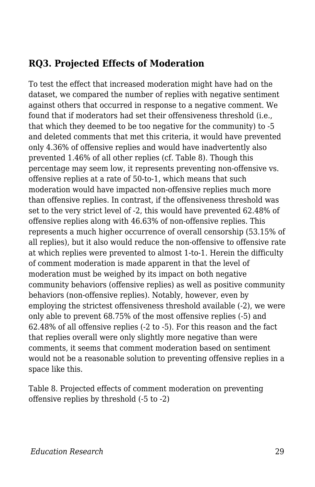### **RQ3. Projected Effects of Moderation**

To test the effect that increased moderation might have had on the dataset, we compared the number of replies with negative sentiment against others that occurred in response to a negative comment. We found that if moderators had set their offensiveness threshold (i.e., that which they deemed to be too negative for the community) to -5 and deleted comments that met this criteria, it would have prevented only 4.36% of offensive replies and would have inadvertently also prevented 1.46% of all other replies (cf. Table 8). Though this percentage may seem low, it represents preventing non-offensive vs. offensive replies at a rate of 50-to-1, which means that such moderation would have impacted non-offensive replies much more than offensive replies. In contrast, if the offensiveness threshold was set to the very strict level of -2, this would have prevented 62.48% of offensive replies along with 46.63% of non-offensive replies. This represents a much higher occurrence of overall censorship (53.15% of all replies), but it also would reduce the non-offensive to offensive rate at which replies were prevented to almost 1-to-1. Herein the difficulty of comment moderation is made apparent in that the level of moderation must be weighed by its impact on both negative community behaviors (offensive replies) as well as positive community behaviors (non-offensive replies). Notably, however, even by employing the strictest offensiveness threshold available (-2), we were only able to prevent 68.75% of the most offensive replies (-5) and 62.48% of all offensive replies (-2 to -5). For this reason and the fact that replies overall were only slightly more negative than were comments, it seems that comment moderation based on sentiment would not be a reasonable solution to preventing offensive replies in a space like this.

Table 8. Projected effects of comment moderation on preventing offensive replies by threshold (-5 to -2)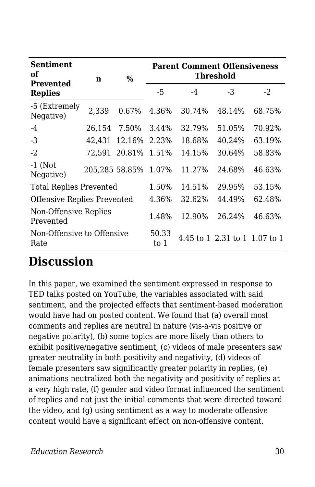| <b>Sentiment</b><br>of<br><b>Prevented</b> | n      | $\%$           | <b>Parent Comment Offensiveness</b><br><b>Threshold</b> |                               |        |        |  |
|--------------------------------------------|--------|----------------|---------------------------------------------------------|-------------------------------|--------|--------|--|
| <b>Replies</b>                             |        |                | -5                                                      | $-4$                          | -3     | $-2$   |  |
| -5 (Extremely<br>Negative)                 | 2,339  | 0.67%          | 4.36%                                                   | 30.74%                        | 48.14% | 68.75% |  |
| $-4$                                       | 26,154 | 7.50%          | 3.44%                                                   | 32.79%                        | 51.05% | 70.92% |  |
| -3                                         | 42.431 | 12.16%         | 2.23%                                                   | 18.68%                        | 40.24% | 63.19% |  |
| $-2$                                       | 72,591 | 20.81%         | 1.51%                                                   | 14.15%                        | 30.64% | 58.83% |  |
| $-1$ (Not<br>Negative)                     |        | 205,285 58.85% | 1.07%                                                   | 11.27%                        | 24.68% | 46.63% |  |
| <b>Total Replies Prevented</b>             |        | 1.50%          | 14.51%                                                  | 29.95%                        | 53.15% |        |  |
| <b>Offensive Replies Prevented</b>         |        |                | 4.36%                                                   | 32.62%                        | 44.49% | 62.48% |  |
| Non-Offensive Replies<br>Prevented         |        | 1.48%          | 12.90%                                                  | 26.24%                        | 46.63% |        |  |
| Non-Offensive to Offensive<br>Rate         |        | 50.33<br>to 1  |                                                         | 4.45 to 1 2.31 to 1 1.07 to 1 |        |        |  |

### **Discussion**

In this paper, we examined the sentiment expressed in response to TED talks posted on YouTube, the variables associated with said sentiment, and the projected effects that sentiment-based moderation would have had on posted content. We found that (a) overall most comments and replies are neutral in nature (vis-a-vis positive or negative polarity), (b) some topics are more likely than others to exhibit positive/negative sentiment, (c) videos of male presenters saw greater neutrality in both positivity and negativity, (d) videos of female presenters saw significantly greater polarity in replies, (e) animations neutralized both the negativity and positivity of replies at a very high rate, (f) gender and video format influenced the sentiment of replies and not just the initial comments that were directed toward the video, and (g) using sentiment as a way to moderate offensive content would have a significant effect on non-offensive content.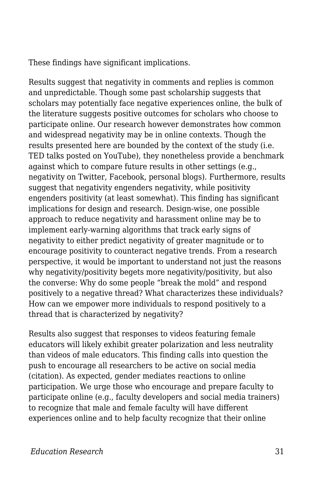These findings have significant implications.

Results suggest that negativity in comments and replies is common and unpredictable. Though some past scholarship suggests that scholars may potentially face negative experiences online, the bulk of the literature suggests positive outcomes for scholars who choose to participate online. Our research however demonstrates how common and widespread negativity may be in online contexts. Though the results presented here are bounded by the context of the study (i.e. TED talks posted on YouTube), they nonetheless provide a benchmark against which to compare future results in other settings (e.g., negativity on Twitter, Facebook, personal blogs). Furthermore, results suggest that negativity engenders negativity, while positivity engenders positivity (at least somewhat). This finding has significant implications for design and research. Design-wise, one possible approach to reduce negativity and harassment online may be to implement early-warning algorithms that track early signs of negativity to either predict negativity of greater magnitude or to encourage positivity to counteract negative trends. From a research perspective, it would be important to understand not just the reasons why negativity/positivity begets more negativity/positivity, but also the converse: Why do some people "break the mold" and respond positively to a negative thread? What characterizes these individuals? How can we empower more individuals to respond positively to a thread that is characterized by negativity?

Results also suggest that responses to videos featuring female educators will likely exhibit greater polarization and less neutrality than videos of male educators. This finding calls into question the push to encourage all researchers to be active on social media (citation). As expected, gender mediates reactions to online participation. We urge those who encourage and prepare faculty to participate online (e.g., faculty developers and social media trainers) to recognize that male and female faculty will have different experiences online and to help faculty recognize that their online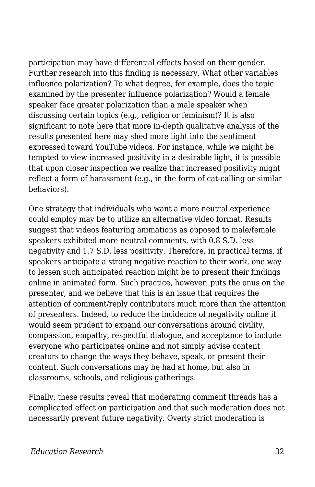participation may have differential effects based on their gender. Further research into this finding is necessary. What other variables influence polarization? To what degree, for example, does the topic examined by the presenter influence polarization? Would a female speaker face greater polarization than a male speaker when discussing certain topics (e.g., religion or feminism)? It is also significant to note here that more in-depth qualitative analysis of the results presented here may shed more light into the sentiment expressed toward YouTube videos. For instance, while we might be tempted to view increased positivity in a desirable light, it is possible that upon closer inspection we realize that increased positivity might reflect a form of harassment (e.g., in the form of cat-calling or similar behaviors).

One strategy that individuals who want a more neutral experience could employ may be to utilize an alternative video format. Results suggest that videos featuring animations as opposed to male/female speakers exhibited more neutral comments, with 0.8 S.D. less negativity and 1.7 S.D. less positivity. Therefore, in practical terms, if speakers anticipate a strong negative reaction to their work, one way to lessen such anticipated reaction might be to present their findings online in animated form. Such practice, however, puts the onus on the presenter, and we believe that this is an issue that requires the attention of comment/reply contributors much more than the attention of presenters. Indeed, to reduce the incidence of negativity online it would seem prudent to expand our conversations around civility, compassion, empathy, respectful dialogue, and acceptance to include everyone who participates online and not simply advise content creators to change the ways they behave, speak, or present their content. Such conversations may be had at home, but also in classrooms, schools, and religious gatherings.

Finally, these results reveal that moderating comment threads has a complicated effect on participation and that such moderation does not necessarily prevent future negativity. Overly strict moderation is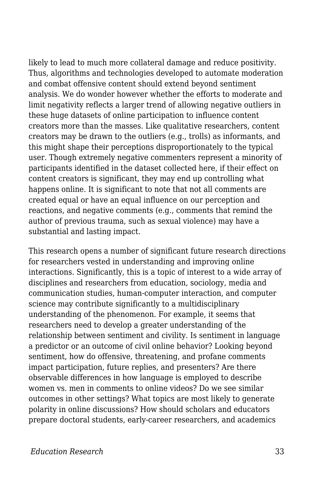likely to lead to much more collateral damage and reduce positivity. Thus, algorithms and technologies developed to automate moderation and combat offensive content should extend beyond sentiment analysis. We do wonder however whether the efforts to moderate and limit negativity reflects a larger trend of allowing negative outliers in these huge datasets of online participation to influence content creators more than the masses. Like qualitative researchers, content creators may be drawn to the outliers (e.g., trolls) as informants, and this might shape their perceptions disproportionately to the typical user. Though extremely negative commenters represent a minority of participants identified in the dataset collected here, if their effect on content creators is significant, they may end up controlling what happens online. It is significant to note that not all comments are created equal or have an equal influence on our perception and reactions, and negative comments (e.g., comments that remind the author of previous trauma, such as sexual violence) may have a substantial and lasting impact.

This research opens a number of significant future research directions for researchers vested in understanding and improving online interactions. Significantly, this is a topic of interest to a wide array of disciplines and researchers from education, sociology, media and communication studies, human-computer interaction, and computer science may contribute significantly to a multidisciplinary understanding of the phenomenon. For example, it seems that researchers need to develop a greater understanding of the relationship between sentiment and civility. Is sentiment in language a predictor or an outcome of civil online behavior? Looking beyond sentiment, how do offensive, threatening, and profane comments impact participation, future replies, and presenters? Are there observable differences in how language is employed to describe women vs. men in comments to online videos? Do we see similar outcomes in other settings? What topics are most likely to generate polarity in online discussions? How should scholars and educators prepare doctoral students, early-career researchers, and academics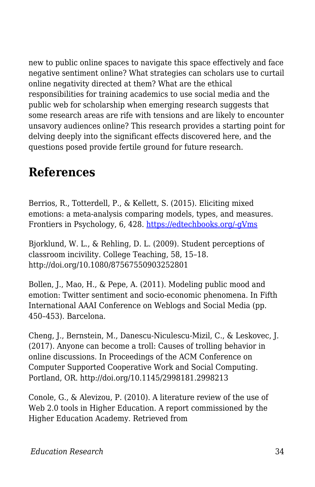new to public online spaces to navigate this space effectively and face negative sentiment online? What strategies can scholars use to curtail online negativity directed at them? What are the ethical responsibilities for training academics to use social media and the public web for scholarship when emerging research suggests that some research areas are rife with tensions and are likely to encounter unsavory audiences online? This research provides a starting point for delving deeply into the significant effects discovered here, and the questions posed provide fertile ground for future research.

## **References**

Berrios, R., Totterdell, P., & Kellett, S. (2015). Eliciting mixed emotions: a meta-analysis comparing models, types, and measures. Frontiers in Psychology, 6, 428. [https://edtechbooks.org/-gVms](https://www.google.com/url?q=http://doi.org/10.3389/fpsyg.2015.00428&sa=D&ust=1578985895418000)

Bjorklund, W. L., & Rehling, D. L. (2009). Student perceptions of classroom incivility. College Teaching, 58, 15–18. http://doi.org/10.1080/87567550903252801

Bollen, J., Mao, H., & Pepe, A. (2011). Modeling public mood and emotion: Twitter sentiment and socio-economic phenomena. In Fifth International AAAI Conference on Weblogs and Social Media (pp. 450–453). Barcelona.

Cheng, J., Bernstein, M., Danescu-Niculescu-Mizil, C., & Leskovec, J. (2017). Anyone can become a troll: Causes of trolling behavior in online discussions. In Proceedings of the ACM Conference on Computer Supported Cooperative Work and Social Computing. Portland, OR. http://doi.org/10.1145/2998181.2998213

Conole, G., & Alevizou, P. (2010). A literature review of the use of Web 2.0 tools in Higher Education. A report commissioned by the Higher Education Academy. Retrieved from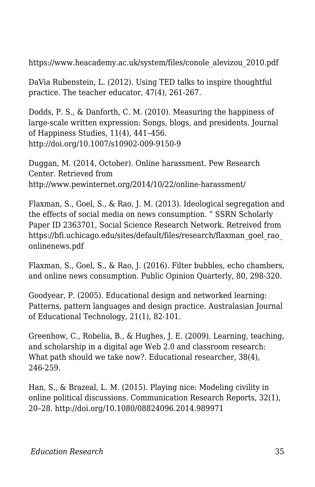https://www.heacademy.ac.uk/system/files/conole\_alevizou\_2010.pdf

DaVia Rubenstein, L. (2012). Using TED talks to inspire thoughtful practice. The teacher educator, 47(4), 261-267.

Dodds, P. S., & Danforth, C. M. (2010). Measuring the happiness of large-scale written expression: Songs, blogs, and presidents. Journal of Happiness Studies, 11(4), 441–456. http://doi.org/10.1007/s10902-009-9150-9

Duggan, M. (2014, October). Online harassment. Pew Research Center. Retrieved from http://www.pewinternet.org/2014/10/22/online-harassment/

Flaxman, S., Goel, S., & Rao, J. M. (2013). Ideological segregation and the effects of social media on news consumption. " SSRN Scholarly Paper ID 2363701, Social Science Research Network. Retreived from https://bfi.uchicago.edu/sites/default/files/research/flaxman\_goel\_rao\_ onlinenews.pdf

Flaxman, S., Goel, S., & Rao, J. (2016). Filter bubbles, echo chambers, and online news consumption. Public Opinion Quarterly, 80, 298-320.

Goodyear, P. (2005). Educational design and networked learning: Patterns, pattern languages and design practice. Australasian Journal of Educational Technology, 21(1), 82-101.

Greenhow, C., Robelia, B., & Hughes, J. E. (2009). Learning, teaching, and scholarship in a digital age Web 2.0 and classroom research: What path should we take now?. Educational researcher, 38(4), 246-259.

Han, S., & Brazeal, L. M. (2015). Playing nice: Modeling civility in online political discussions. Communication Research Reports, 32(1), 20–28. http://doi.org/10.1080/08824096.2014.989971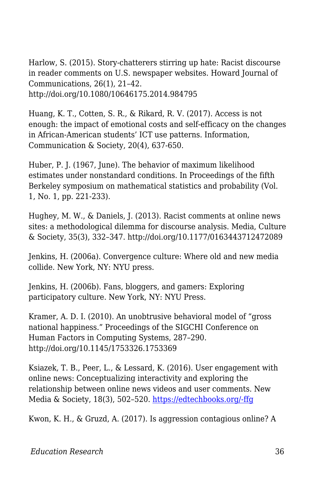Harlow, S. (2015). Story-chatterers stirring up hate: Racist discourse in reader comments on U.S. newspaper websites. Howard Journal of Communications, 26(1), 21–42. http://doi.org/10.1080/10646175.2014.984795

Huang, K. T., Cotten, S. R., & Rikard, R. V. (2017). Access is not enough: the impact of emotional costs and self-efficacy on the changes in African-American students' ICT use patterns. Information, Communication & Society, 20(4), 637-650.

Huber, P. J. (1967, June). The behavior of maximum likelihood estimates under nonstandard conditions. In Proceedings of the fifth Berkeley symposium on mathematical statistics and probability (Vol. 1, No. 1, pp. 221-233).

Hughey, M. W., & Daniels, J. (2013). Racist comments at online news sites: a methodological dilemma for discourse analysis. Media, Culture & Society, 35(3), 332–347. http://doi.org/10.1177/0163443712472089

Jenkins, H. (2006a). Convergence culture: Where old and new media collide. New York, NY: NYU press.

Jenkins, H. (2006b). Fans, bloggers, and gamers: Exploring participatory culture. New York, NY: NYU Press.

Kramer, A. D. I. (2010). An unobtrusive behavioral model of "gross national happiness." Proceedings of the SIGCHI Conference on Human Factors in Computing Systems, 287–290. http://doi.org/10.1145/1753326.1753369

Ksiazek, T. B., Peer, L., & Lessard, K. (2016). User engagement with online news: Conceptualizing interactivity and exploring the relationship between online news videos and user comments. New Media & Society, 18(3), 502-520. [https://edtechbooks.org/-ffg](https://www.google.com/url?q=http://doi.org/10.1177/1461444814545073&sa=D&ust=1578985895422000)

Kwon, K. H., & Gruzd, A. (2017). Is aggression contagious online? A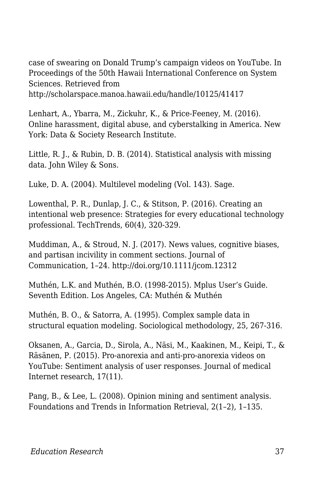case of swearing on Donald Trump's campaign videos on YouTube. In Proceedings of the 50th Hawaii International Conference on System Sciences. Retrieved from http://scholarspace.manoa.hawaii.edu/handle/10125/41417

Lenhart, A., Ybarra, M., Zickuhr, K., & Price-Feeney, M. (2016). Online harassment, digital abuse, and cyberstalking in America. New York: Data & Society Research Institute.

Little, R. J., & Rubin, D. B. (2014). Statistical analysis with missing data. John Wiley & Sons.

Luke, D. A. (2004). Multilevel modeling (Vol. 143). Sage.

Lowenthal, P. R., Dunlap, J. C., & Stitson, P. (2016). Creating an intentional web presence: Strategies for every educational technology professional. TechTrends, 60(4), 320-329.

Muddiman, A., & Stroud, N. J. (2017). News values, cognitive biases, and partisan incivility in comment sections. Journal of Communication, 1–24. http://doi.org/10.1111/jcom.12312

Muthén, L.K. and Muthén, B.O. (1998-2015). Mplus User's Guide. Seventh Edition. Los Angeles, CA: Muthén & Muthén

Muthén, B. O., & Satorra, A. (1995). Complex sample data in structural equation modeling. Sociological methodology, 25, 267-316.

Oksanen, A., Garcia, D., Sirola, A., Näsi, M., Kaakinen, M., Keipi, T., & Räsänen, P. (2015). Pro-anorexia and anti-pro-anorexia videos on YouTube: Sentiment analysis of user responses. Journal of medical Internet research, 17(11).

Pang, B., & Lee, L. (2008). Opinion mining and sentiment analysis. Foundations and Trends in Information Retrieval, 2(1–2), 1–135.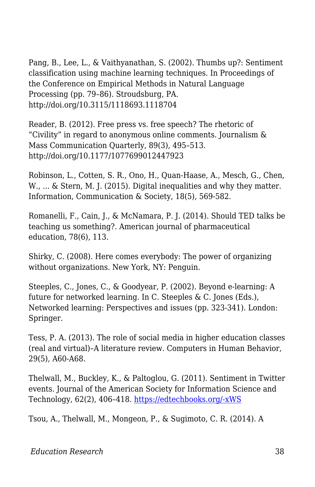Pang, B., Lee, L., & Vaithyanathan, S. (2002). Thumbs up?: Sentiment classification using machine learning techniques. In Proceedings of the Conference on Empirical Methods in Natural Language Processing (pp. 79–86). Stroudsburg, PA. http://doi.org/10.3115/1118693.1118704

Reader, B. (2012). Free press vs. free speech? The rhetoric of "Civility" in regard to anonymous online comments. Journalism & Mass Communication Quarterly, 89(3), 495–513. http://doi.org/10.1177/1077699012447923

Robinson, L., Cotten, S. R., Ono, H., Quan-Haase, A., Mesch, G., Chen, W., ... & Stern, M. J. (2015). Digital inequalities and why they matter. Information, Communication & Society, 18(5), 569-582.

Romanelli, F., Cain, J., & McNamara, P. J. (2014). Should TED talks be teaching us something?. American journal of pharmaceutical education, 78(6), 113.

Shirky, C. (2008). Here comes everybody: The power of organizing without organizations. New York, NY: Penguin.

Steeples, C., Jones, C., & Goodyear, P. (2002). Beyond e-learning: A future for networked learning. In C. Steeples & C. Jones (Eds.), Networked learning: Perspectives and issues (pp. 323-341). London: Springer.

Tess, P. A. (2013). The role of social media in higher education classes (real and virtual)–A literature review. Computers in Human Behavior, 29(5), A60-A68.

Thelwall, M., Buckley, K., & Paltoglou, G. (2011). Sentiment in Twitter events. Journal of the American Society for Information Science and Technology, 62(2), 406–418. [https://edtechbooks.org/-xWS](https://www.google.com/url?q=http://doi.org/10.1002/asi.21462&sa=D&ust=1578985895426000)

Tsou, A., Thelwall, M., Mongeon, P., & Sugimoto, C. R. (2014). A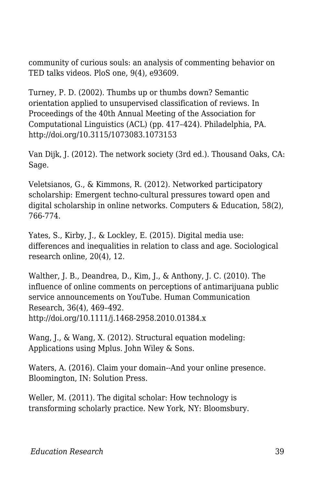community of curious souls: an analysis of commenting behavior on TED talks videos. PloS one, 9(4), e93609.

Turney, P. D. (2002). Thumbs up or thumbs down? Semantic orientation applied to unsupervised classification of reviews. In Proceedings of the 40th Annual Meeting of the Association for Computational Linguistics (ACL) (pp. 417–424). Philadelphia, PA. http://doi.org/10.3115/1073083.1073153

Van Dijk, J. (2012). The network society (3rd ed.). Thousand Oaks, CA: Sage.

Veletsianos, G., & Kimmons, R. (2012). Networked participatory scholarship: Emergent techno-cultural pressures toward open and digital scholarship in online networks. Computers & Education, 58(2), 766-774.

Yates, S., Kirby, J., & Lockley, E. (2015). Digital media use: differences and inequalities in relation to class and age. Sociological research online, 20(4), 12.

Walther, J. B., Deandrea, D., Kim, J., & Anthony, J. C. (2010). The influence of online comments on perceptions of antimarijuana public service announcements on YouTube. Human Communication Research, 36(4), 469–492. http://doi.org/10.1111/j.1468-2958.2010.01384.x

Wang, J., & Wang, X. (2012). Structural equation modeling: Applications using Mplus. John Wiley & Sons.

Waters, A. (2016). Claim your domain--And your online presence. Bloomington, IN: Solution Press.

Weller, M. (2011). The digital scholar: How technology is transforming scholarly practice. New York, NY: Bloomsbury.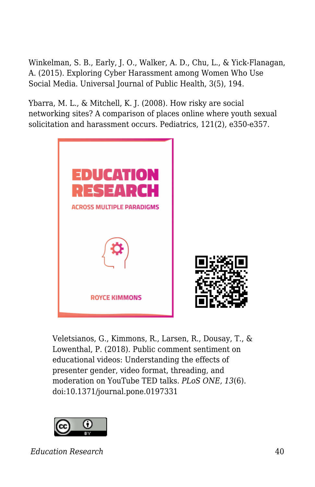Winkelman, S. B., Early, J. O., Walker, A. D., Chu, L., & Yick-Flanagan, A. (2015). Exploring Cyber Harassment among Women Who Use Social Media. Universal Journal of Public Health, 3(5), 194.

Ybarra, M. L., & Mitchell, K. J. (2008). How risky are social networking sites? A comparison of places online where youth sexual solicitation and harassment occurs. Pediatrics, 121(2), e350-e357.





Veletsianos, G., Kimmons, R., Larsen, R., Dousay, T., & Lowenthal, P. (2018). Public comment sentiment on educational videos: Understanding the effects of presenter gender, video format, threading, and moderation on YouTube TED talks. *PLoS ONE, 13*(6). doi:10.1371/journal.pone.0197331